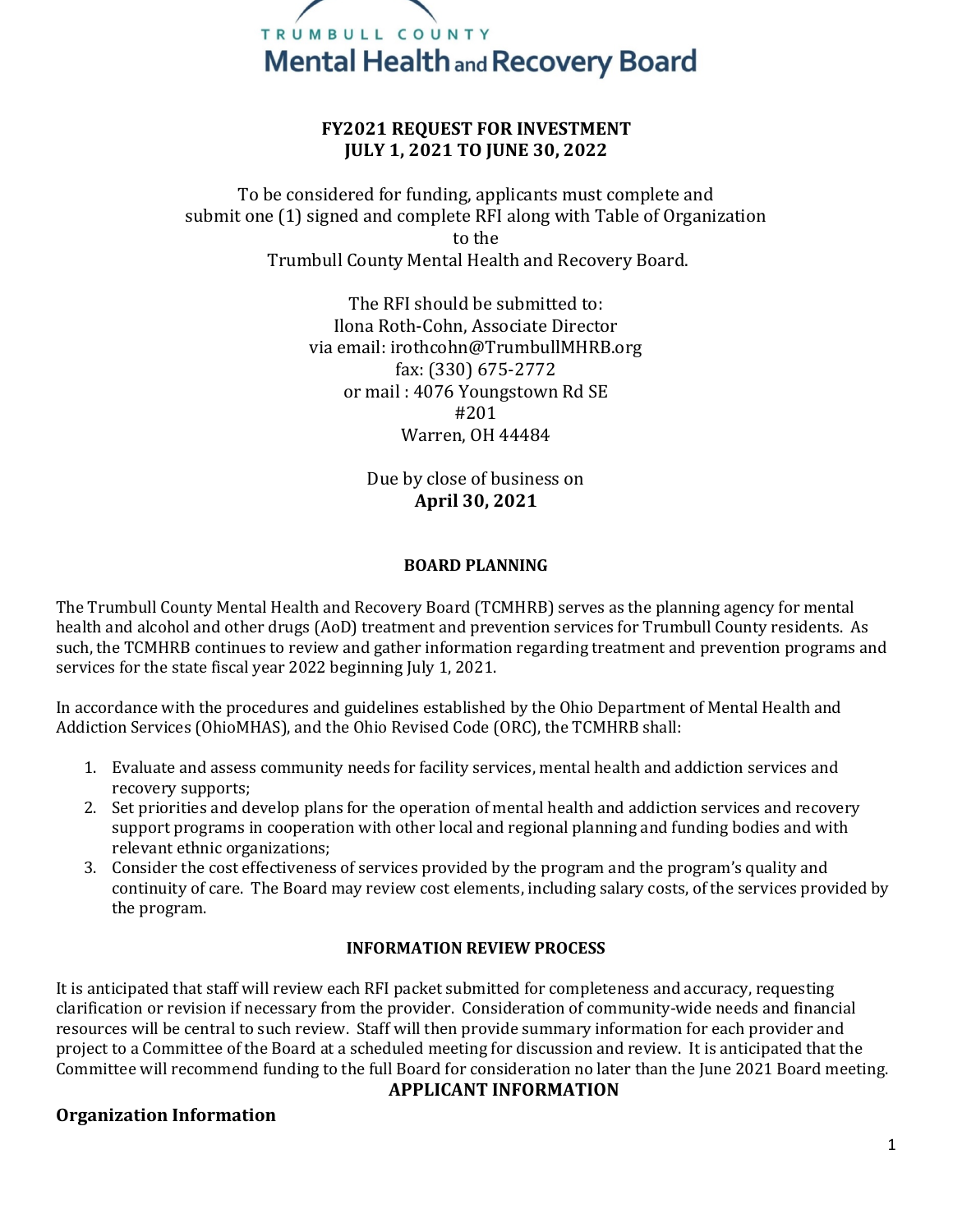

### **FY2021 REQUEST FOR INVESTMENT JULY 1, 2021 TO JUNE 30, 2022**

To be considered for funding, applicants must complete and submit one (1) signed and complete RFI along with Table of Organization to the Trumbull County Mental Health and Recovery Board.

> The RFI should be submitted to: Ilona Roth-Cohn, Associate Director via email: irothcohn@TrumbullMHRB.org fax: (330) 675-2772 or mail : 4076 Youngstown Rd SE #201 Warren, OH 44484

> > Due by close of business on **April 30, 2021**

#### **BOARD PLANNING**

The Trumbull County Mental Health and Recovery Board (TCMHRB) serves as the planning agency for mental health and alcohol and other drugs (AoD) treatment and prevention services for Trumbull County residents. As such, the TCMHRB continues to review and gather information regarding treatment and prevention programs and services for the state fiscal year 2022 beginning July 1, 2021.

In accordance with the procedures and guidelines established by the Ohio Department of Mental Health and Addiction Services (OhioMHAS), and the Ohio Revised Code (ORC), the TCMHRB shall:

- 1. Evaluate and assess community needs for facility services, mental health and addiction services and recovery supports;
- 2. Set priorities and develop plans for the operation of mental health and addiction services and recovery support programs in cooperation with other local and regional planning and funding bodies and with relevant ethnic organizations;
- 3. Consider the cost effectiveness of services provided by the program and the program's quality and continuity of care. The Board may review cost elements, including salary costs, of the services provided by the program.

#### **INFORMATION REVIEW PROCESS**

It is anticipated that staff will review each RFI packet submitted for completeness and accuracy, requesting clarification or revision if necessary from the provider. Consideration of community-wide needs and financial resources will be central to such review. Staff will then provide summary information for each provider and project to a Committee of the Board at a scheduled meeting for discussion and review. It is anticipated that the Committee will recommend funding to the full Board for consideration no later than the June 2021 Board meeting.

#### **APPLICANT INFORMATION**

#### **Organization Information**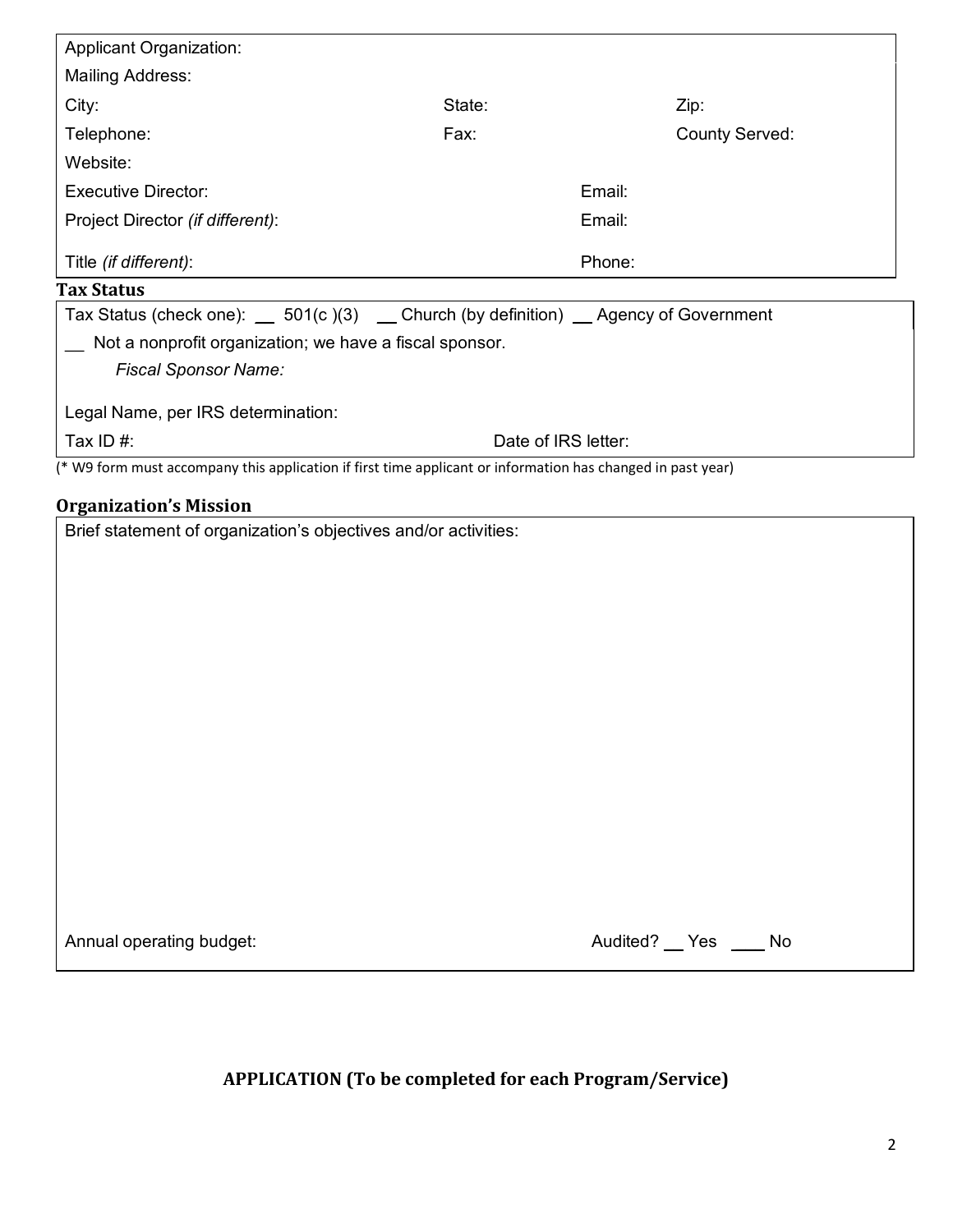| <b>Mailing Address:</b><br>State:<br>City:<br>Zip:<br>Telephone:<br>Fax:<br><b>County Served:</b><br>Website:<br><b>Executive Director:</b><br>Email:<br>Project Director (if different):<br>Email:<br>Title (if different):<br>Phone:<br>Tax Status (check one): __ 501(c)(3) __ Church (by definition) __ Agency of Government<br>Not a nonprofit organization; we have a fiscal sponsor.<br><b>Fiscal Sponsor Name:</b><br>Tax ID#:<br>Date of IRS letter:<br>(* W9 form must accompany this application if first time applicant or information has changed in past year)<br><b>Organization's Mission</b><br>Brief statement of organization's objectives and/or activities: |                                    |  |  |  |
|----------------------------------------------------------------------------------------------------------------------------------------------------------------------------------------------------------------------------------------------------------------------------------------------------------------------------------------------------------------------------------------------------------------------------------------------------------------------------------------------------------------------------------------------------------------------------------------------------------------------------------------------------------------------------------|------------------------------------|--|--|--|
|                                                                                                                                                                                                                                                                                                                                                                                                                                                                                                                                                                                                                                                                                  |                                    |  |  |  |
|                                                                                                                                                                                                                                                                                                                                                                                                                                                                                                                                                                                                                                                                                  |                                    |  |  |  |
|                                                                                                                                                                                                                                                                                                                                                                                                                                                                                                                                                                                                                                                                                  |                                    |  |  |  |
|                                                                                                                                                                                                                                                                                                                                                                                                                                                                                                                                                                                                                                                                                  |                                    |  |  |  |
|                                                                                                                                                                                                                                                                                                                                                                                                                                                                                                                                                                                                                                                                                  |                                    |  |  |  |
|                                                                                                                                                                                                                                                                                                                                                                                                                                                                                                                                                                                                                                                                                  |                                    |  |  |  |
|                                                                                                                                                                                                                                                                                                                                                                                                                                                                                                                                                                                                                                                                                  |                                    |  |  |  |
|                                                                                                                                                                                                                                                                                                                                                                                                                                                                                                                                                                                                                                                                                  | <b>Tax Status</b>                  |  |  |  |
|                                                                                                                                                                                                                                                                                                                                                                                                                                                                                                                                                                                                                                                                                  | Legal Name, per IRS determination: |  |  |  |
|                                                                                                                                                                                                                                                                                                                                                                                                                                                                                                                                                                                                                                                                                  |                                    |  |  |  |
|                                                                                                                                                                                                                                                                                                                                                                                                                                                                                                                                                                                                                                                                                  |                                    |  |  |  |
|                                                                                                                                                                                                                                                                                                                                                                                                                                                                                                                                                                                                                                                                                  |                                    |  |  |  |
|                                                                                                                                                                                                                                                                                                                                                                                                                                                                                                                                                                                                                                                                                  |                                    |  |  |  |
|                                                                                                                                                                                                                                                                                                                                                                                                                                                                                                                                                                                                                                                                                  |                                    |  |  |  |
|                                                                                                                                                                                                                                                                                                                                                                                                                                                                                                                                                                                                                                                                                  |                                    |  |  |  |
|                                                                                                                                                                                                                                                                                                                                                                                                                                                                                                                                                                                                                                                                                  |                                    |  |  |  |
|                                                                                                                                                                                                                                                                                                                                                                                                                                                                                                                                                                                                                                                                                  |                                    |  |  |  |
|                                                                                                                                                                                                                                                                                                                                                                                                                                                                                                                                                                                                                                                                                  |                                    |  |  |  |
|                                                                                                                                                                                                                                                                                                                                                                                                                                                                                                                                                                                                                                                                                  |                                    |  |  |  |

Annual operating budget: Annual operating budget: Audited? Lateration of Audited? Audited? Audited? Audited? A

| Yes. |
|------|
|      |

# **APPLICATION (To be completed for each Program/Service)**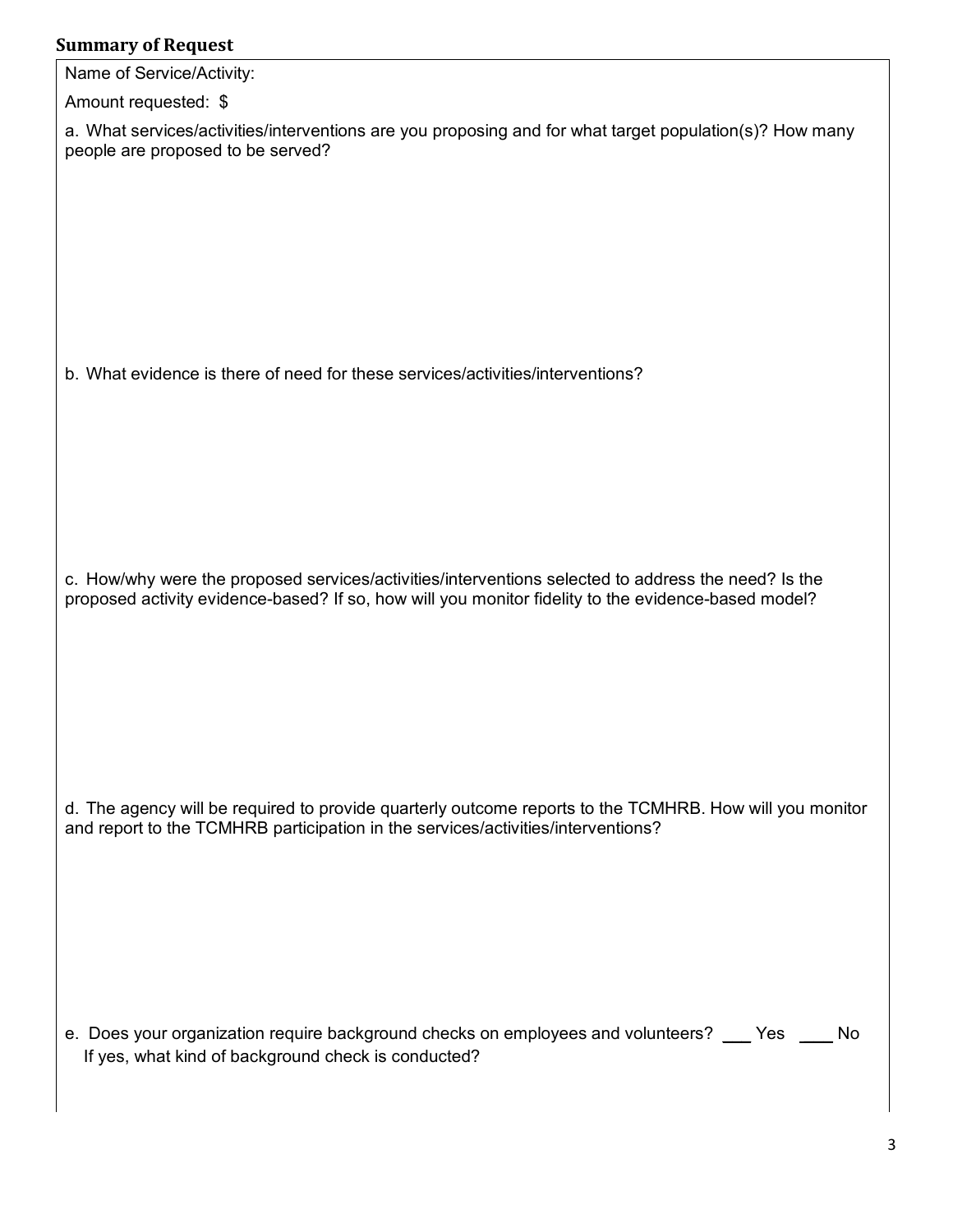## **Summary of Request**

| Summary of Request                                                                                                                                                                                         |
|------------------------------------------------------------------------------------------------------------------------------------------------------------------------------------------------------------|
| Name of Service/Activity:                                                                                                                                                                                  |
| Amount requested: \$                                                                                                                                                                                       |
| a. What services/activities/interventions are you proposing and for what target population(s)? How many<br>people are proposed to be served?                                                               |
| b. What evidence is there of need for these services/activities/interventions?                                                                                                                             |
|                                                                                                                                                                                                            |
| c. How/why were the proposed services/activities/interventions selected to address the need? Is the<br>proposed activity evidence-based? If so, how will you monitor fidelity to the evidence-based model? |
| d. The agency will be required to provide quarterly outcome reports to the TCMHRB. How will you monitor<br>and report to the TCMHRB participation in the services/activities/interventions?                |
| e. Does your organization require background checks on employees and volunteers? ___ Yes<br>No<br>If yes, what kind of background check is conducted?                                                      |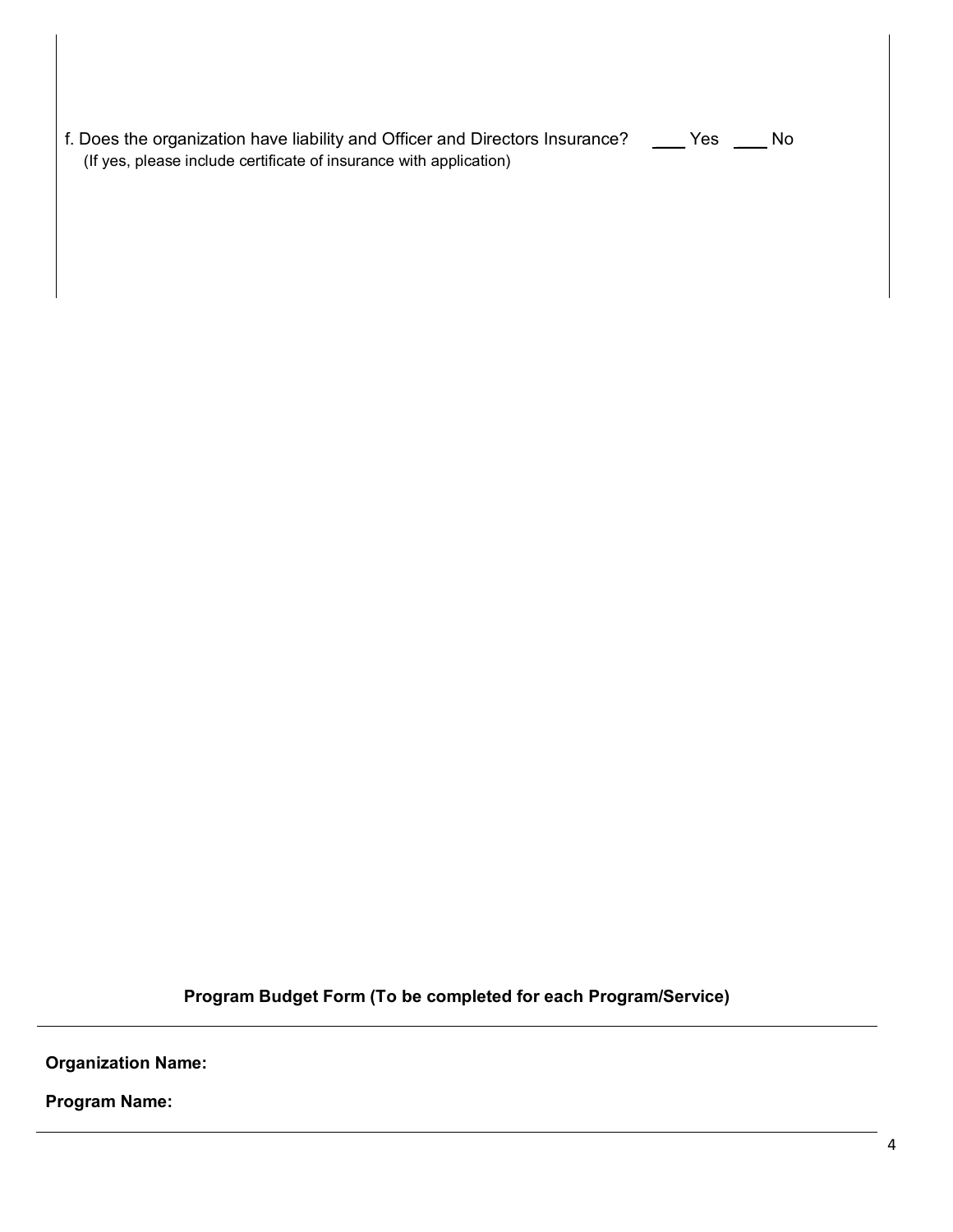| f. Does the organization have liability and Officer and Directors Insurance?<br>(If yes, please include certificate of insurance with application) | Yes | No. |  |
|----------------------------------------------------------------------------------------------------------------------------------------------------|-----|-----|--|

**Program Budget Form (To be completed for each Program/Service)**

**Organization Name:** 

**Program Name:**